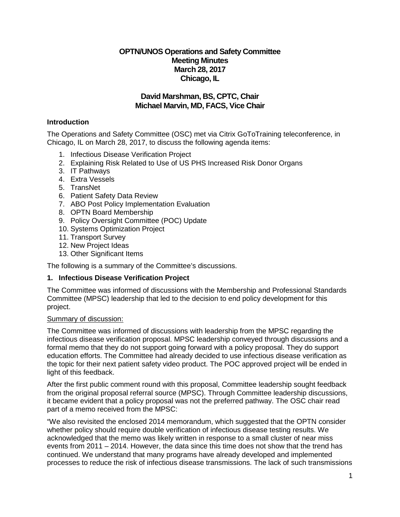# **OPTN/UNOS Operations and Safety Committee Meeting Minutes March 28, 2017 Chicago, IL**

# **David Marshman, BS, CPTC, Chair Michael Marvin, MD, FACS, Vice Chair**

# **Introduction**

The Operations and Safety Committee (OSC) met via Citrix GoToTraining teleconference, in Chicago, IL on March 28, 2017, to discuss the following agenda items:

- 1. Infectious Disease Verification Project
- 2. Explaining Risk Related to Use of US PHS Increased Risk Donor Organs
- 3. IT Pathways
- 4. Extra Vessels
- 5. TransNet
- 6. Patient Safety Data Review
- 7. ABO Post Policy Implementation Evaluation
- 8. OPTN Board Membership
- 9. Policy Oversight Committee (POC) Update
- 10. Systems Optimization Project
- 11. Transport Survey
- 12. New Project Ideas
- 13. Other Significant Items

The following is a summary of the Committee's discussions.

## **1. Infectious Disease Verification Project**

The Committee was informed of discussions with the Membership and Professional Standards Committee (MPSC) leadership that led to the decision to end policy development for this project.

#### Summary of discussion:

The Committee was informed of discussions with leadership from the MPSC regarding the infectious disease verification proposal. MPSC leadership conveyed through discussions and a formal memo that they do not support going forward with a policy proposal. They do support education efforts. The Committee had already decided to use infectious disease verification as the topic for their next patient safety video product. The POC approved project will be ended in light of this feedback.

After the first public comment round with this proposal, Committee leadership sought feedback from the original proposal referral source (MPSC). Through Committee leadership discussions, it became evident that a policy proposal was not the preferred pathway. The OSC chair read part of a memo received from the MPSC:

"We also revisited the enclosed 2014 memorandum, which suggested that the OPTN consider whether policy should require double verification of infectious disease testing results. We acknowledged that the memo was likely written in response to a small cluster of near miss events from 2011 – 2014. However, the data since this time does not show that the trend has continued. We understand that many programs have already developed and implemented processes to reduce the risk of infectious disease transmissions. The lack of such transmissions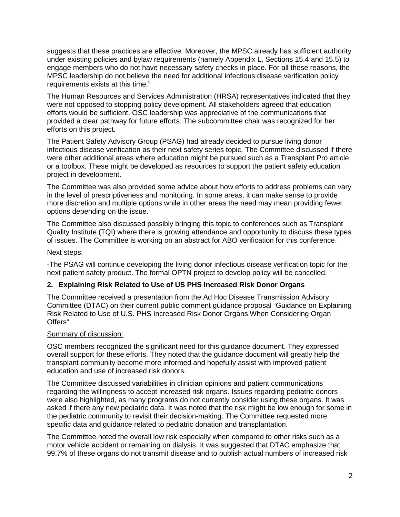suggests that these practices are effective. Moreover, the MPSC already has sufficient authority under existing policies and bylaw requirements (namely Appendix L, Sections 15.4 and 15.5) to engage members who do not have necessary safety checks in place. For all these reasons, the MPSC leadership do not believe the need for additional infectious disease verification policy requirements exists at this time."

The Human Resources and Services Administration (HRSA) representatives indicated that they were not opposed to stopping policy development. All stakeholders agreed that education efforts would be sufficient. OSC leadership was appreciative of the communications that provided a clear pathway for future efforts. The subcommittee chair was recognized for her efforts on this project.

The Patient Safety Advisory Group (PSAG) had already decided to pursue living donor infectious disease verification as their next safety series topic. The Committee discussed if there were other additional areas where education might be pursued such as a Transplant Pro article or a toolbox. These might be developed as resources to support the patient safety education project in development.

The Committee was also provided some advice about how efforts to address problems can vary in the level of prescriptiveness and monitoring. In some areas, it can make sense to provide more discretion and multiple options while in other areas the need may mean providing fewer options depending on the issue.

The Committee also discussed possibly bringing this topic to conferences such as Transplant Quality Institute (TQI) where there is growing attendance and opportunity to discuss these types of issues. The Committee is working on an abstract for ABO verification for this conference.

#### Next steps:

-The PSAG will continue developing the living donor infectious disease verification topic for the next patient safety product. The formal OPTN project to develop policy will be cancelled.

## **2. Explaining Risk Related to Use of US PHS Increased Risk Donor Organs**

The Committee received a presentation from the Ad Hoc Disease Transmission Advisory Committee (DTAC) on their current public comment guidance proposal "Guidance on Explaining Risk Related to Use of U.S. PHS Increased Risk Donor Organs When Considering Organ Offers".

#### Summary of discussion:

OSC members recognized the significant need for this guidance document. They expressed overall support for these efforts. They noted that the guidance document will greatly help the transplant community become more informed and hopefully assist with improved patient education and use of increased risk donors.

The Committee discussed variabilities in clinician opinions and patient communications regarding the willingness to accept increased risk organs. Issues regarding pediatric donors were also highlighted, as many programs do not currently consider using these organs. It was asked if there any new pediatric data. It was noted that the risk might be low enough for some in the pediatric community to revisit their decision-making. The Committee requested more specific data and guidance related to pediatric donation and transplantation.

The Committee noted the overall low risk especially when compared to other risks such as a motor vehicle accident or remaining on dialysis. It was suggested that DTAC emphasize that 99.7% of these organs do not transmit disease and to publish actual numbers of increased risk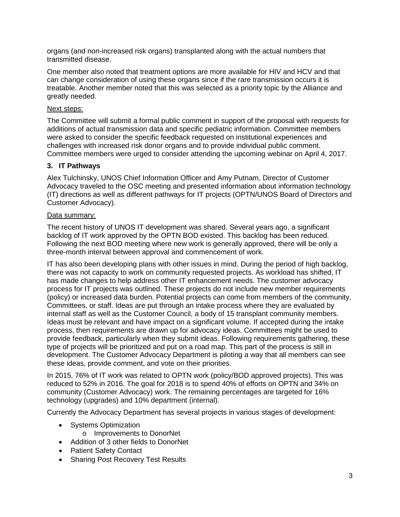organs (and non-increased risk organs) transplanted along with the actual numbers that transmitted disease.

One member also noted that treatment options are more available for HIV and HCV and that can change consideration of using these organs since if the rare transmission occurs it is treatable. Another member noted that this was selected as a priority topic by the Alliance and greatly needed.

#### Next steps:

The Committee will submit a formal public comment in support of the proposal with requests for additions of actual transmission data and specific pediatric information. Committee members were asked to consider the specific feedback requested on institutional experiences and challenges with increased risk donor organs and to provide individual public comment. Committee members were urged to consider attending the upcoming webinar on April 4, 2017.

## **3. IT Pathways**

Alex Tulchinsky, UNOS Chief Information Officer and Amy Putnam, Director of Customer Advocacy traveled to the OSC meeting and presented information about information technology (IT) directions as well as different pathways for IT projects (OPTN/UNOS Board of Directors and Customer Advocacy).

## Data summary:

The recent history of UNOS IT development was shared. Several years ago, a significant backlog of IT work approved by the OPTN BOD existed. This backlog has been reduced. Following the next BOD meeting where new work is generally approved, there will be only a three-month interval between approval and commencement of work.

IT has also been developing plans with other issues in mind. During the period of high backlog, there was not capacity to work on community requested projects. As workload has shifted, IT has made changes to help address other IT enhancement needs. The customer advocacy process for IT projects was outlined. These projects do not include new member requirements (policy) or increased data burden. Potential projects can come from members of the community, Committees, or staff. Ideas are put through an intake process where they are evaluated by internal staff as well as the Customer Council, a body of 15 transplant community members. Ideas must be relevant and have impact on a significant volume. If accepted during the intake process, then requirements are drawn up for advocacy ideas. Committees might be used to provide feedback, particularly when they submit ideas. Following requirements gathering, these type of projects will be prioritized and put on a road map. This part of the process is still in development. The Customer Advocacy Department is piloting a way that all members can see these ideas, provide comment, and vote on their priorities.

In 2015, 76% of IT work was related to OPTN work (policy/BOD approved projects). This was reduced to 52% in 2016. The goal for 2018 is to spend 40% of efforts on OPTN and 34% on community (Customer Advocacy) work. The remaining percentages are targeted for 16% technology (upgrades) and 10% department (internal).

Currently the Advocacy Department has several projects in various stages of development:

- Systems Optimization
	- o Improvements to DonorNet
- Addition of 3 other fields to DonorNet
- Patient Safety Contact
- Sharing Post Recovery Test Results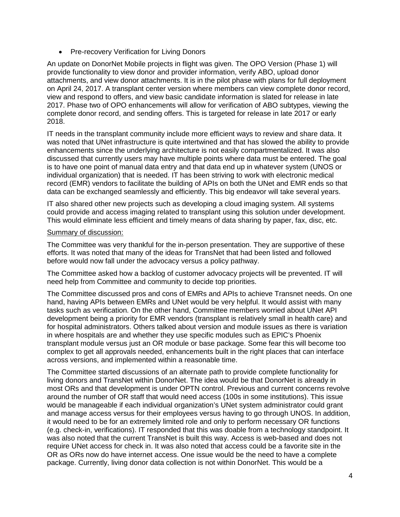• Pre-recovery Verification for Living Donors

An update on DonorNet Mobile projects in flight was given. The OPO Version (Phase 1) will provide functionality to view donor and provider information, verify ABO, upload donor attachments, and view donor attachments. It is in the pilot phase with plans for full deployment on April 24, 2017. A transplant center version where members can view complete donor record, view and respond to offers, and view basic candidate information is slated for release in late 2017. Phase two of OPO enhancements will allow for verification of ABO subtypes, viewing the complete donor record, and sending offers. This is targeted for release in late 2017 or early 2018.

IT needs in the transplant community include more efficient ways to review and share data. It was noted that UNet infrastructure is quite intertwined and that has slowed the ability to provide enhancements since the underlying architecture is not easily compartmentalized. It was also discussed that currently users may have multiple points where data must be entered. The goal is to have one point of manual data entry and that data end up in whatever system (UNOS or individual organization) that is needed. IT has been striving to work with electronic medical record (EMR) vendors to facilitate the building of APIs on both the UNet and EMR ends so that data can be exchanged seamlessly and efficiently. This big endeavor will take several years.

IT also shared other new projects such as developing a cloud imaging system. All systems could provide and access imaging related to transplant using this solution under development. This would eliminate less efficient and timely means of data sharing by paper, fax, disc, etc.

## Summary of discussion:

The Committee was very thankful for the in-person presentation. They are supportive of these efforts. It was noted that many of the ideas for TransNet that had been listed and followed before would now fall under the advocacy versus a policy pathway.

The Committee asked how a backlog of customer advocacy projects will be prevented. IT will need help from Committee and community to decide top priorities.

The Committee discussed pros and cons of EMRs and APIs to achieve Transnet needs. On one hand, having APIs between EMRs and UNet would be very helpful. It would assist with many tasks such as verification. On the other hand, Committee members worried about UNet API development being a priority for EMR vendors (transplant is relatively small in health care) and for hospital administrators. Others talked about version and module issues as there is variation in where hospitals are and whether they use specific modules such as EPIC's Phoenix transplant module versus just an OR module or base package. Some fear this will become too complex to get all approvals needed, enhancements built in the right places that can interface across versions, and implemented within a reasonable time.

The Committee started discussions of an alternate path to provide complete functionality for living donors and TransNet within DonorNet. The idea would be that DonorNet is already in most ORs and that development is under OPTN control. Previous and current concerns revolve around the number of OR staff that would need access (100s in some institutions). This issue would be manageable if each individual organization's UNet system administrator could grant and manage access versus for their employees versus having to go through UNOS. In addition, it would need to be for an extremely limited role and only to perform necessary OR functions (e.g. check-in, verifications). IT responded that this was doable from a technology standpoint. It was also noted that the current TransNet is built this way. Access is web-based and does not require UNet access for check in. It was also noted that access could be a favorite site in the OR as ORs now do have internet access. One issue would be the need to have a complete package. Currently, living donor data collection is not within DonorNet. This would be a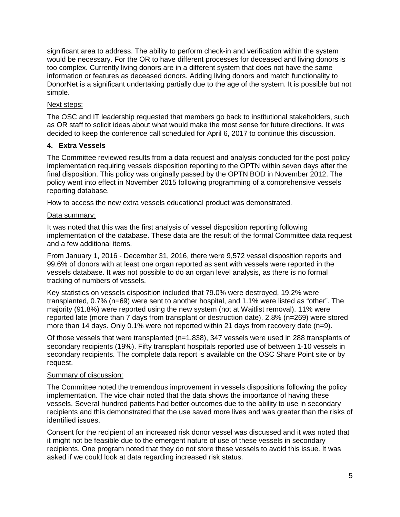significant area to address. The ability to perform check-in and verification within the system would be necessary. For the OR to have different processes for deceased and living donors is too complex. Currently living donors are in a different system that does not have the same information or features as deceased donors. Adding living donors and match functionality to DonorNet is a significant undertaking partially due to the age of the system. It is possible but not simple.

# Next steps:

The OSC and IT leadership requested that members go back to institutional stakeholders, such as OR staff to solicit ideas about what would make the most sense for future directions. It was decided to keep the conference call scheduled for April 6, 2017 to continue this discussion.

# **4. Extra Vessels**

The Committee reviewed results from a data request and analysis conducted for the post policy implementation requiring vessels disposition reporting to the OPTN within seven days after the final disposition. This policy was originally passed by the OPTN BOD in November 2012. The policy went into effect in November 2015 following programming of a comprehensive vessels reporting database.

How to access the new extra vessels educational product was demonstrated.

## Data summary:

It was noted that this was the first analysis of vessel disposition reporting following implementation of the database. These data are the result of the formal Committee data request and a few additional items.

From January 1, 2016 - December 31, 2016, there were 9,572 vessel disposition reports and 99.6% of donors with at least one organ reported as sent with vessels were reported in the vessels database. It was not possible to do an organ level analysis, as there is no formal tracking of numbers of vessels.

Key statistics on vessels disposition included that 79.0% were destroyed, 19.2% were transplanted, 0.7% (n=69) were sent to another hospital, and 1.1% were listed as "other". The majority (91.8%) were reported using the new system (not at Waitlist removal). 11% were reported late (more than 7 days from transplant or destruction date). 2.8% (n=269) were stored more than 14 days. Only 0.1% were not reported within 21 days from recovery date (n=9).

Of those vessels that were transplanted (n=1,838), 347 vessels were used in 288 transplants of secondary recipients (19%). Fifty transplant hospitals reported use of between 1-10 vessels in secondary recipients. The complete data report is available on the OSC Share Point site or by request.

## Summary of discussion:

The Committee noted the tremendous improvement in vessels dispositions following the policy implementation. The vice chair noted that the data shows the importance of having these vessels. Several hundred patients had better outcomes due to the ability to use in secondary recipients and this demonstrated that the use saved more lives and was greater than the risks of identified issues.

Consent for the recipient of an increased risk donor vessel was discussed and it was noted that it might not be feasible due to the emergent nature of use of these vessels in secondary recipients. One program noted that they do not store these vessels to avoid this issue. It was asked if we could look at data regarding increased risk status.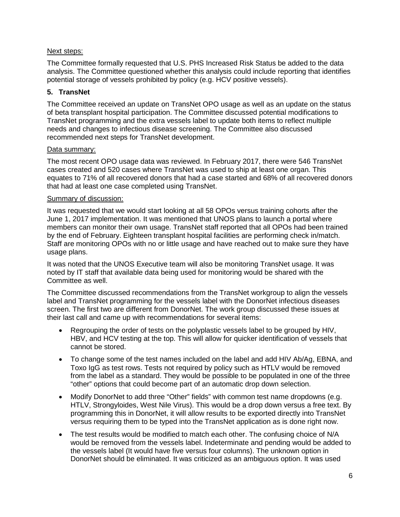## Next steps:

The Committee formally requested that U.S. PHS Increased Risk Status be added to the data analysis. The Committee questioned whether this analysis could include reporting that identifies potential storage of vessels prohibited by policy (e.g. HCV positive vessels).

## **5. TransNet**

The Committee received an update on TransNet OPO usage as well as an update on the status of beta transplant hospital participation. The Committee discussed potential modifications to TransNet programming and the extra vessels label to update both items to reflect multiple needs and changes to infectious disease screening. The Committee also discussed recommended next steps for TransNet development.

## Data summary:

The most recent OPO usage data was reviewed. In February 2017, there were 546 TransNet cases created and 520 cases where TransNet was used to ship at least one organ. This equates to 71% of all recovered donors that had a case started and 68% of all recovered donors that had at least one case completed using TransNet.

## Summary of discussion:

It was requested that we would start looking at all 58 OPOs versus training cohorts after the June 1, 2017 implementation. It was mentioned that UNOS plans to launch a portal where members can monitor their own usage. TransNet staff reported that all OPOs had been trained by the end of February. Eighteen transplant hospital facilities are performing check in/match. Staff are monitoring OPOs with no or little usage and have reached out to make sure they have usage plans.

It was noted that the UNOS Executive team will also be monitoring TransNet usage. It was noted by IT staff that available data being used for monitoring would be shared with the Committee as well.

The Committee discussed recommendations from the TransNet workgroup to align the vessels label and TransNet programming for the vessels label with the DonorNet infectious diseases screen. The first two are different from DonorNet. The work group discussed these issues at their last call and came up with recommendations for several items:

- Regrouping the order of tests on the polyplastic vessels label to be grouped by HIV, HBV, and HCV testing at the top. This will allow for quicker identification of vessels that cannot be stored.
- To change some of the test names included on the label and add HIV Ab/Ag, EBNA, and Toxo IgG as test rows. Tests not required by policy such as HTLV would be removed from the label as a standard. They would be possible to be populated in one of the three "other" options that could become part of an automatic drop down selection.
- Modify DonorNet to add three "Other" fields" with common test name dropdowns (e.g. HTLV, Strongyloides, West Nile Virus). This would be a drop down versus a free text. By programming this in DonorNet, it will allow results to be exported directly into TransNet versus requiring them to be typed into the TransNet application as is done right now.
- The test results would be modified to match each other. The confusing choice of N/A would be removed from the vessels label. Indeterminate and pending would be added to the vessels label (It would have five versus four columns). The unknown option in DonorNet should be eliminated. It was criticized as an ambiguous option. It was used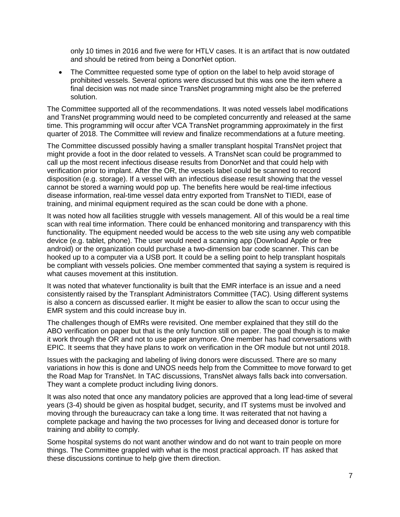only 10 times in 2016 and five were for HTLV cases. It is an artifact that is now outdated and should be retired from being a DonorNet option.

• The Committee requested some type of option on the label to help avoid storage of prohibited vessels. Several options were discussed but this was one the item where a final decision was not made since TransNet programming might also be the preferred solution.

The Committee supported all of the recommendations. It was noted vessels label modifications and TransNet programming would need to be completed concurrently and released at the same time. This programming will occur after VCA TransNet programming approximately in the first quarter of 2018. The Committee will review and finalize recommendations at a future meeting.

The Committee discussed possibly having a smaller transplant hospital TransNet project that might provide a foot in the door related to vessels. A TransNet scan could be programmed to call up the most recent infectious disease results from DonorNet and that could help with verification prior to implant. After the OR, the vessels label could be scanned to record disposition (e.g. storage). If a vessel with an infectious disease result showing that the vessel cannot be stored a warning would pop up. The benefits here would be real-time infectious disease information, real-time vessel data entry exported from TransNet to TIEDI, ease of training, and minimal equipment required as the scan could be done with a phone.

It was noted how all facilities struggle with vessels management. All of this would be a real time scan with real time information. There could be enhanced monitoring and transparency with this functionality. The equipment needed would be access to the web site using any web compatible device (e.g. tablet, phone). The user would need a scanning app (Download Apple or free android) or the organization could purchase a two-dimension bar code scanner. This can be hooked up to a computer via a USB port. It could be a selling point to help transplant hospitals be compliant with vessels policies. One member commented that saying a system is required is what causes movement at this institution.

It was noted that whatever functionality is built that the EMR interface is an issue and a need consistently raised by the Transplant Administrators Committee (TAC). Using different systems is also a concern as discussed earlier. It might be easier to allow the scan to occur using the EMR system and this could increase buy in.

The challenges though of EMRs were revisited. One member explained that they still do the ABO verification on paper but that is the only function still on paper. The goal though is to make it work through the OR and not to use paper anymore. One member has had conversations with EPIC. It seems that they have plans to work on verification in the OR module but not until 2018.

Issues with the packaging and labeling of living donors were discussed. There are so many variations in how this is done and UNOS needs help from the Committee to move forward to get the Road Map for TransNet. In TAC discussions, TransNet always falls back into conversation. They want a complete product including living donors.

It was also noted that once any mandatory policies are approved that a long lead-time of several years (3-4) should be given as hospital budget, security, and IT systems must be involved and moving through the bureaucracy can take a long time. It was reiterated that not having a complete package and having the two processes for living and deceased donor is torture for training and ability to comply.

Some hospital systems do not want another window and do not want to train people on more things. The Committee grappled with what is the most practical approach. IT has asked that these discussions continue to help give them direction.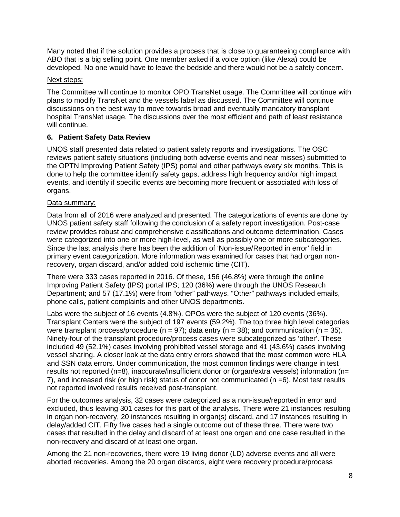Many noted that if the solution provides a process that is close to guaranteeing compliance with ABO that is a big selling point. One member asked if a voice option (like Alexa) could be developed. No one would have to leave the bedside and there would not be a safety concern.

## Next steps:

The Committee will continue to monitor OPO TransNet usage. The Committee will continue with plans to modify TransNet and the vessels label as discussed. The Committee will continue discussions on the best way to move towards broad and eventually mandatory transplant hospital TransNet usage. The discussions over the most efficient and path of least resistance will continue.

# **6. Patient Safety Data Review**

UNOS staff presented data related to patient safety reports and investigations. The OSC reviews patient safety situations (including both adverse events and near misses) submitted to the OPTN Improving Patient Safety (IPS) portal and other pathways every six months. This is done to help the committee identify safety gaps, address high frequency and/or high impact events, and identify if specific events are becoming more frequent or associated with loss of organs.

## Data summary:

Data from all of 2016 were analyzed and presented. The categorizations of events are done by UNOS patient safety staff following the conclusion of a safety report investigation. Post-case review provides robust and comprehensive classifications and outcome determination. Cases were categorized into one or more high-level, as well as possibly one or more subcategories. Since the last analysis there has been the addition of 'Non-issue/Reported in error' field in primary event categorization. More information was examined for cases that had organ nonrecovery, organ discard, and/or added cold ischemic time (CIT).

There were 333 cases reported in 2016. Of these, 156 (46.8%) were through the online Improving Patient Safety (IPS) portal IPS; 120 (36%) were through the UNOS Research Department; and 57 (17.1%) were from "other" pathways. "Other" pathways included emails, phone calls, patient complaints and other UNOS departments.

Labs were the subject of 16 events (4.8%). OPOs were the subject of 120 events (36%). Transplant Centers were the subject of 197 events (59.2%). The top three high level categories were transplant process/procedure ( $n = 97$ ); data entry ( $n = 38$ ); and communication ( $n = 35$ ). Ninety-four of the transplant procedure/process cases were subcategorized as 'other'. These included 49 (52.1%) cases involving prohibited vessel storage and 41 (43.6%) cases involving vessel sharing. A closer look at the data entry errors showed that the most common were HLA and SSN data errors. Under communication, the most common findings were change in test results not reported (n=8), inaccurate/insufficient donor or (organ/extra vessels) information (n= 7), and increased risk (or high risk) status of donor not communicated (n =6). Most test results not reported involved results received post-transplant.

For the outcomes analysis, 32 cases were categorized as a non-issue/reported in error and excluded, thus leaving 301 cases for this part of the analysis. There were 21 instances resulting in organ non-recovery, 20 instances resulting in organ(s) discard, and 17 instances resulting in delay/added CIT. Fifty five cases had a single outcome out of these three. There were two cases that resulted in the delay and discard of at least one organ and one case resulted in the non-recovery and discard of at least one organ.

Among the 21 non-recoveries, there were 19 living donor (LD) adverse events and all were aborted recoveries. Among the 20 organ discards, eight were recovery procedure/process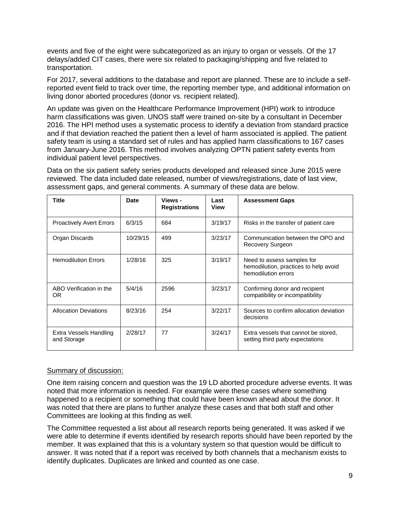events and five of the eight were subcategorized as an injury to organ or vessels. Of the 17 delays/added CIT cases, there were six related to packaging/shipping and five related to transportation.

For 2017, several additions to the database and report are planned. These are to include a selfreported event field to track over time, the reporting member type, and additional information on living donor aborted procedures (donor vs. recipient related).

An update was given on the Healthcare Performance Improvement (HPI) work to introduce harm classifications was given. UNOS staff were trained on-site by a consultant in December 2016. The HPI method uses a systematic process to identify a deviation from standard practice and if that deviation reached the patient then a level of harm associated is applied. The patient safety team is using a standard set of rules and has applied harm classifications to 167 cases from January-June 2016. This method involves analyzing OPTN patient safety events from individual patient level perspectives.

Data on the six patient safety series products developed and released since June 2015 were reviewed. The data included date released, number of views/registrations, date of last view, assessment gaps, and general comments. A summary of these data are below.

| Title                                 | Date     | Views -<br><b>Registrations</b> | Last<br>View | <b>Assessment Gaps</b>                                                                     |
|---------------------------------------|----------|---------------------------------|--------------|--------------------------------------------------------------------------------------------|
| <b>Proactively Avert Errors</b>       | 6/3/15   | 684                             | 3/19/17      | Risks in the transfer of patient care                                                      |
| Organ Discards                        | 10/29/15 | 499                             | 3/23/17      | Communication between the OPO and<br>Recovery Surgeon                                      |
| <b>Hemodilution Errors</b>            | 1/28/16  | 325                             | 3/19/17      | Need to assess samples for<br>hemodilution, practices to help avoid<br>hemodilution errors |
| ABO Verification in the<br>0R         | 5/4/16   | 2596                            | 3/23/17      | Confirming donor and recipient<br>compatibility or incompatibility                         |
| <b>Allocation Deviations</b>          | 8/23/16  | 254                             | 3/22/17      | Sources to confirm allocation deviation<br>decisions                                       |
| Extra Vessels Handling<br>and Storage | 2/28/17  | 77                              | 3/24/17      | Extra vessels that cannot be stored,<br>setting third party expectations                   |

#### Summary of discussion:

One item raising concern and question was the 19 LD aborted procedure adverse events. It was noted that more information is needed. For example were these cases where something happened to a recipient or something that could have been known ahead about the donor. It was noted that there are plans to further analyze these cases and that both staff and other Committees are looking at this finding as well.

The Committee requested a list about all research reports being generated. It was asked if we were able to determine if events identified by research reports should have been reported by the member. It was explained that this is a voluntary system so that question would be difficult to answer. It was noted that if a report was received by both channels that a mechanism exists to identify duplicates. Duplicates are linked and counted as one case.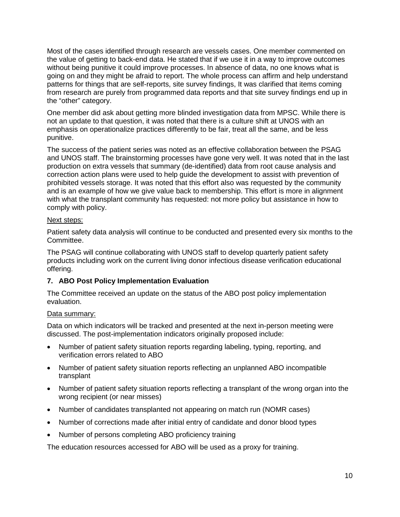Most of the cases identified through research are vessels cases. One member commented on the value of getting to back-end data. He stated that if we use it in a way to improve outcomes without being punitive it could improve processes. In absence of data, no one knows what is going on and they might be afraid to report. The whole process can affirm and help understand patterns for things that are self-reports, site survey findings, It was clarified that items coming from research are purely from programmed data reports and that site survey findings end up in the "other" category.

One member did ask about getting more blinded investigation data from MPSC. While there is not an update to that question, it was noted that there is a culture shift at UNOS with an emphasis on operationalize practices differently to be fair, treat all the same, and be less punitive.

The success of the patient series was noted as an effective collaboration between the PSAG and UNOS staff. The brainstorming processes have gone very well. It was noted that in the last production on extra vessels that summary (de-identified) data from root cause analysis and correction action plans were used to help guide the development to assist with prevention of prohibited vessels storage. It was noted that this effort also was requested by the community and is an example of how we give value back to membership. This effort is more in alignment with what the transplant community has requested: not more policy but assistance in how to comply with policy.

#### Next steps:

Patient safety data analysis will continue to be conducted and presented every six months to the Committee.

The PSAG will continue collaborating with UNOS staff to develop quarterly patient safety products including work on the current living donor infectious disease verification educational offering.

## **7. ABO Post Policy Implementation Evaluation**

The Committee received an update on the status of the ABO post policy implementation evaluation.

## Data summary:

Data on which indicators will be tracked and presented at the next in-person meeting were discussed. The post-implementation indicators originally proposed include:

- Number of patient safety situation reports regarding labeling, typing, reporting, and verification errors related to ABO
- Number of patient safety situation reports reflecting an unplanned ABO incompatible transplant
- Number of patient safety situation reports reflecting a transplant of the wrong organ into the wrong recipient (or near misses)
- Number of candidates transplanted not appearing on match run (NOMR cases)
- Number of corrections made after initial entry of candidate and donor blood types
- Number of persons completing ABO proficiency training

The education resources accessed for ABO will be used as a proxy for training.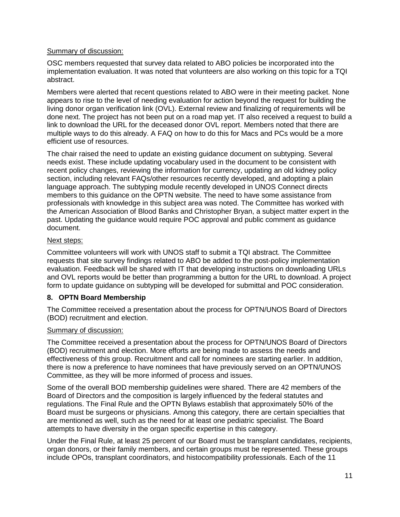## Summary of discussion:

OSC members requested that survey data related to ABO policies be incorporated into the implementation evaluation. It was noted that volunteers are also working on this topic for a TQI abstract.

Members were alerted that recent questions related to ABO were in their meeting packet. None appears to rise to the level of needing evaluation for action beyond the request for building the living donor organ verification link (OVL). External review and finalizing of requirements will be done next. The project has not been put on a road map yet. IT also received a request to build a link to download the URL for the deceased donor OVL report. Members noted that there are multiple ways to do this already. A FAQ on how to do this for Macs and PCs would be a more efficient use of resources.

The chair raised the need to update an existing guidance document on subtyping. Several needs exist. These include updating vocabulary used in the document to be consistent with recent policy changes, reviewing the information for currency, updating an old kidney policy section, including relevant FAQs/other resources recently developed, and adopting a plain language approach. The subtyping module recently developed in UNOS Connect directs members to this guidance on the OPTN website. The need to have some assistance from professionals with knowledge in this subject area was noted. The Committee has worked with the American Association of Blood Banks and Christopher Bryan, a subject matter expert in the past. Updating the guidance would require POC approval and public comment as guidance document.

# Next steps:

Committee volunteers will work with UNOS staff to submit a TQI abstract. The Committee requests that site survey findings related to ABO be added to the post-policy implementation evaluation. Feedback will be shared with IT that developing instructions on downloading URLs and OVL reports would be better than programming a button for the URL to download. A project form to update guidance on subtyping will be developed for submittal and POC consideration.

# **8. OPTN Board Membership**

The Committee received a presentation about the process for OPTN/UNOS Board of Directors (BOD) recruitment and election.

# Summary of discussion:

The Committee received a presentation about the process for OPTN/UNOS Board of Directors (BOD) recruitment and election. More efforts are being made to assess the needs and effectiveness of this group. Recruitment and call for nominees are starting earlier. In addition, there is now a preference to have nominees that have previously served on an OPTN/UNOS Committee, as they will be more informed of process and issues.

Some of the overall BOD membership guidelines were shared. There are 42 members of the Board of Directors and the composition is largely influenced by the federal statutes and regulations. The Final Rule and the OPTN Bylaws establish that approximately 50% of the Board must be surgeons or physicians. Among this category, there are certain specialties that are mentioned as well, such as the need for at least one pediatric specialist. The Board attempts to have diversity in the organ specific expertise in this category.

Under the Final Rule, at least 25 percent of our Board must be transplant candidates, recipients, organ donors, or their family members, and certain groups must be represented. These groups include OPOs, transplant coordinators, and histocompatibility professionals. Each of the 11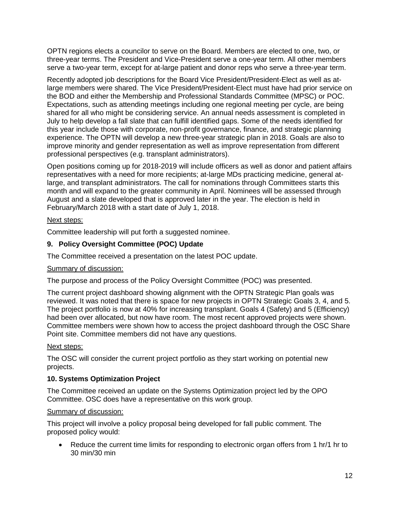OPTN regions elects a councilor to serve on the Board. Members are elected to one, two, or three-year terms. The President and Vice-President serve a one-year term. All other members serve a two-year term, except for at-large patient and donor reps who serve a three-year term.

Recently adopted job descriptions for the Board Vice President/President-Elect as well as atlarge members were shared. The Vice President/President-Elect must have had prior service on the BOD and either the Membership and Professional Standards Committee (MPSC) or POC. Expectations, such as attending meetings including one regional meeting per cycle, are being shared for all who might be considering service. An annual needs assessment is completed in July to help develop a fall slate that can fulfill identified gaps. Some of the needs identified for this year include those with corporate, non-profit governance, finance, and strategic planning experience. The OPTN will develop a new three-year strategic plan in 2018. Goals are also to improve minority and gender representation as well as improve representation from different professional perspectives (e.g. transplant administrators).

Open positions coming up for 2018-2019 will include officers as well as donor and patient affairs representatives with a need for more recipients; at-large MDs practicing medicine, general atlarge, and transplant administrators. The call for nominations through Committees starts this month and will expand to the greater community in April. Nominees will be assessed through August and a slate developed that is approved later in the year. The election is held in February/March 2018 with a start date of July 1, 2018.

## Next steps:

Committee leadership will put forth a suggested nominee.

# **9. Policy Oversight Committee (POC) Update**

The Committee received a presentation on the latest POC update.

## Summary of discussion:

The purpose and process of the Policy Oversight Committee (POC) was presented.

The current project dashboard showing alignment with the OPTN Strategic Plan goals was reviewed. It was noted that there is space for new projects in OPTN Strategic Goals 3, 4, and 5. The project portfolio is now at 40% for increasing transplant. Goals 4 (Safety) and 5 (Efficiency) had been over allocated, but now have room. The most recent approved projects were shown. Committee members were shown how to access the project dashboard through the OSC Share Point site. Committee members did not have any questions.

## Next steps:

The OSC will consider the current project portfolio as they start working on potential new projects.

# **10. Systems Optimization Project**

The Committee received an update on the Systems Optimization project led by the OPO Committee. OSC does have a representative on this work group.

## Summary of discussion:

This project will involve a policy proposal being developed for fall public comment. The proposed policy would:

• Reduce the current time limits for responding to electronic organ offers from 1 hr/1 hr to 30 min/30 min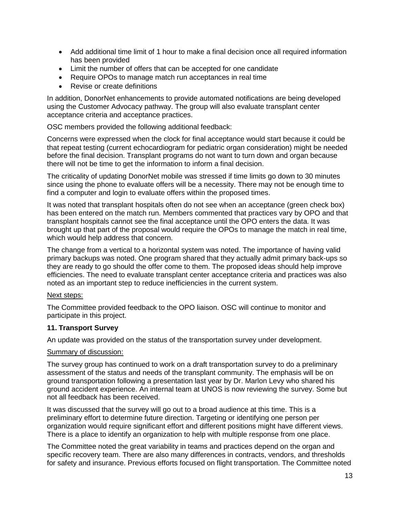- Add additional time limit of 1 hour to make a final decision once all required information has been provided
- Limit the number of offers that can be accepted for one candidate
- Require OPOs to manage match run acceptances in real time
- Revise or create definitions

In addition, DonorNet enhancements to provide automated notifications are being developed using the Customer Advocacy pathway. The group will also evaluate transplant center acceptance criteria and acceptance practices.

OSC members provided the following additional feedback:

Concerns were expressed when the clock for final acceptance would start because it could be that repeat testing (current echocardiogram for pediatric organ consideration) might be needed before the final decision. Transplant programs do not want to turn down and organ because there will not be time to get the information to inform a final decision.

The criticality of updating DonorNet mobile was stressed if time limits go down to 30 minutes since using the phone to evaluate offers will be a necessity. There may not be enough time to find a computer and login to evaluate offers within the proposed times.

It was noted that transplant hospitals often do not see when an acceptance (green check box) has been entered on the match run. Members commented that practices vary by OPO and that transplant hospitals cannot see the final acceptance until the OPO enters the data. It was brought up that part of the proposal would require the OPOs to manage the match in real time, which would help address that concern.

The change from a vertical to a horizontal system was noted. The importance of having valid primary backups was noted. One program shared that they actually admit primary back-ups so they are ready to go should the offer come to them. The proposed ideas should help improve efficiencies. The need to evaluate transplant center acceptance criteria and practices was also noted as an important step to reduce inefficiencies in the current system.

## Next steps:

The Committee provided feedback to the OPO liaison. OSC will continue to monitor and participate in this project.

## **11. Transport Survey**

An update was provided on the status of the transportation survey under development.

#### Summary of discussion:

The survey group has continued to work on a draft transportation survey to do a preliminary assessment of the status and needs of the transplant community. The emphasis will be on ground transportation following a presentation last year by Dr. Marlon Levy who shared his ground accident experience. An internal team at UNOS is now reviewing the survey. Some but not all feedback has been received.

It was discussed that the survey will go out to a broad audience at this time. This is a preliminary effort to determine future direction. Targeting or identifying one person per organization would require significant effort and different positions might have different views. There is a place to identify an organization to help with multiple response from one place.

The Committee noted the great variability in teams and practices depend on the organ and specific recovery team. There are also many differences in contracts, vendors, and thresholds for safety and insurance. Previous efforts focused on flight transportation. The Committee noted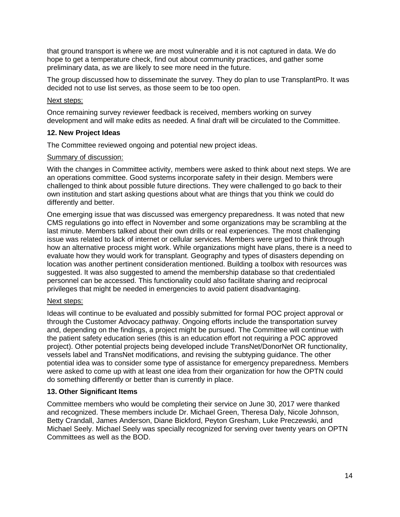that ground transport is where we are most vulnerable and it is not captured in data. We do hope to get a temperature check, find out about community practices, and gather some preliminary data, as we are likely to see more need in the future.

The group discussed how to disseminate the survey. They do plan to use TransplantPro. It was decided not to use list serves, as those seem to be too open.

#### Next steps:

Once remaining survey reviewer feedback is received, members working on survey development and will make edits as needed. A final draft will be circulated to the Committee.

#### **12. New Project Ideas**

The Committee reviewed ongoing and potential new project ideas.

#### Summary of discussion:

With the changes in Committee activity, members were asked to think about next steps. We are an operations committee. Good systems incorporate safety in their design. Members were challenged to think about possible future directions. They were challenged to go back to their own institution and start asking questions about what are things that you think we could do differently and better.

One emerging issue that was discussed was emergency preparedness. It was noted that new CMS regulations go into effect in November and some organizations may be scrambling at the last minute. Members talked about their own drills or real experiences. The most challenging issue was related to lack of internet or cellular services. Members were urged to think through how an alternative process might work. While organizations might have plans, there is a need to evaluate how they would work for transplant. Geography and types of disasters depending on location was another pertinent consideration mentioned. Building a toolbox with resources was suggested. It was also suggested to amend the membership database so that credentialed personnel can be accessed. This functionality could also facilitate sharing and reciprocal privileges that might be needed in emergencies to avoid patient disadvantaging.

#### Next steps:

Ideas will continue to be evaluated and possibly submitted for formal POC project approval or through the Customer Advocacy pathway. Ongoing efforts include the transportation survey and, depending on the findings, a project might be pursued. The Committee will continue with the patient safety education series (this is an education effort not requiring a POC approved project). Other potential projects being developed include TransNet/DonorNet OR functionality, vessels label and TransNet modifications, and revising the subtyping guidance. The other potential idea was to consider some type of assistance for emergency preparedness. Members were asked to come up with at least one idea from their organization for how the OPTN could do something differently or better than is currently in place.

## **13. Other Significant Items**

Committee members who would be completing their service on June 30, 2017 were thanked and recognized. These members include Dr. Michael Green, Theresa Daly, Nicole Johnson, Betty Crandall, James Anderson, Diane Bickford, Peyton Gresham, Luke Preczewski, and Michael Seely. Michael Seely was specially recognized for serving over twenty years on OPTN Committees as well as the BOD.